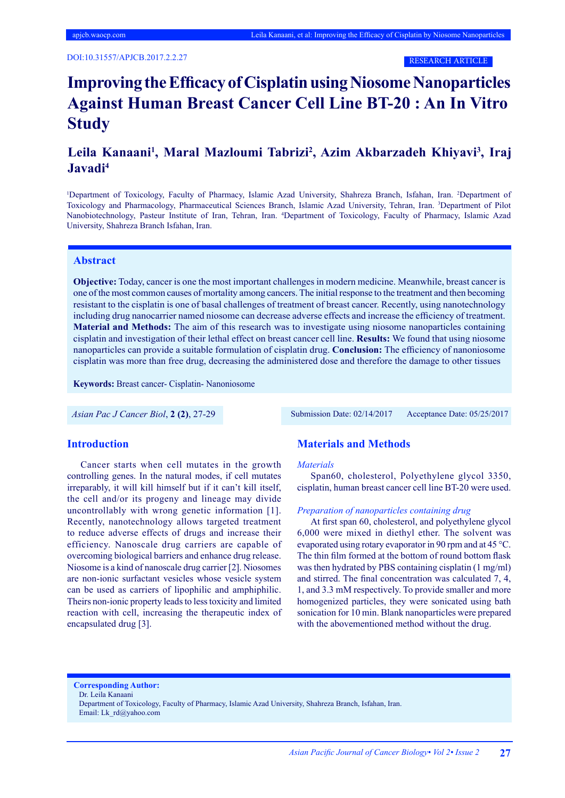RESEARCH ARTICLE

# **Improving the Efficacy of Cisplatin using Niosome Nanoparticles Against Human Breast Cancer Cell Line BT-20 : An In Vitro Study**

# Leila Kanaani<sup>1</sup>, Maral Mazloumi Tabrizi<sup>2</sup>, Azim Akbarzadeh Khiyavi<sup>3</sup>, Iraj **Javadi4**

<sup>1</sup>Department of Toxicology, Faculty of Pharmacy, Islamic Azad University, Shahreza Branch, Isfahan, Iran. <sup>2</sup>Department of Toxicology and Pharmacology, Pharmaceutical Sciences Branch, Islamic Azad University, Tehran, Iran. 3 Department of Pilot Nanobiotechnology, Pasteur Institute of Iran, Tehran, Iran. 4 Department of Toxicology, Faculty of Pharmacy, Islamic Azad University, Shahreza Branch Isfahan, Iran.

#### **Abstract**

**Objective:** Today, cancer is one the most important challenges in modern medicine. Meanwhile, breast cancer is one of the most common causes of mortality among cancers. The initial response to the treatment and then becoming resistant to the cisplatin is one of basal challenges of treatment of breast cancer. Recently, using nanotechnology including drug nanocarrier named niosome can decrease adverse effects and increase the efficiency of treatment. **Material and Methods:** The aim of this research was to investigate using niosome nanoparticles containing cisplatin and investigation of their lethal effect on breast cancer cell line. **Results:** We found that using niosome nanoparticles can provide a suitable formulation of cisplatin drug. **Conclusion:** The efficiency of nanoniosome cisplatin was more than free drug, decreasing the administered dose and therefore the damage to other tissues

**Keywords:** Breast cancer- Cisplatin- Nanoniosome

*Asian Pac J Cancer Biol*, **2 (2)**, 27-29 Submission Date: 02/14/2017 Acceptance Date: 05/25/2017

#### **Introduction**

Cancer starts when cell mutates in the growth controlling genes. In the natural modes, if cell mutates irreparably, it will kill himself but if it can't kill itself, the cell and/or its progeny and lineage may divide uncontrollably with wrong genetic information [1]. Recently, nanotechnology allows targeted treatment to reduce adverse effects of drugs and increase their efficiency. Nanoscale drug carriers are capable of overcoming biological barriers and enhance drug release. Niosome is a kind of nanoscale drug carrier [2]. Niosomes are non-ionic surfactant vesicles whose vesicle system can be used as carriers of lipophilic and amphiphilic. Theirs non-ionic property leads to less toxicity and limited reaction with cell, increasing the therapeutic index of encapsulated drug [3].

# **Materials and Methods**

#### *Materials*

Span60, cholesterol, Polyethylene glycol 3350, cisplatin, human breast cancer cell line BT-20 were used.

#### *Preparation of nanoparticles containing drug*

At first span 60, cholesterol, and polyethylene glycol 6,000 were mixed in diethyl ether. The solvent was evaporated using rotary evaporator in 90 rpm and at 45 °C. The thin film formed at the bottom of round bottom flask was then hydrated by PBS containing cisplatin (1 mg/ml) and stirred. The final concentration was calculated 7, 4, 1, and 3.3 mM respectively. To provide smaller and more homogenized particles, they were sonicated using bath sonication for 10 min. Blank nanoparticles were prepared with the abovementioned method without the drug.

**Corresponding Author:**

Dr. Leila Kanaani

Department of Toxicology, Faculty of Pharmacy, Islamic Azad University, Shahreza Branch, Isfahan, Iran. Email: Lk\_rd@yahoo.com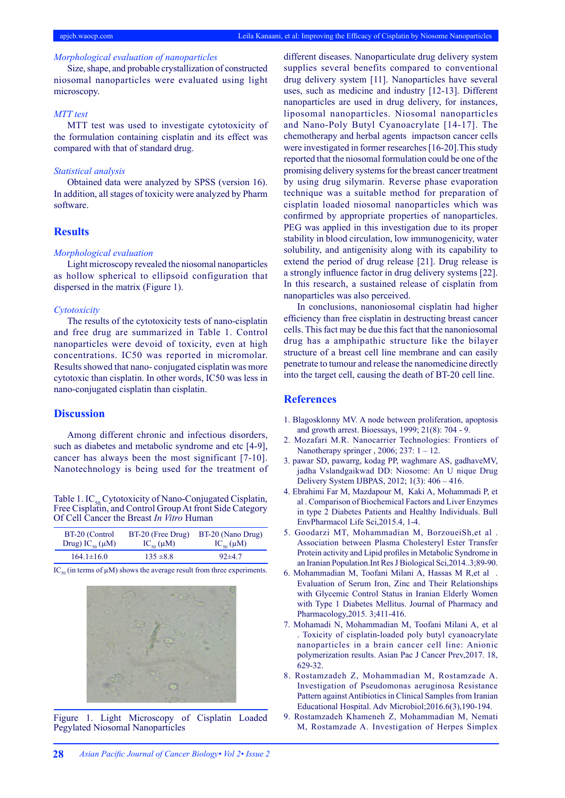## *Morphological evaluation of nanoparticles*

Size, shape, and probable crystallization of constructed niosomal nanoparticles were evaluated using light microscopy.

## *MTT test*

MTT test was used to investigate cytotoxicity of the formulation containing cisplatin and its effect was compared with that of standard drug.

# *Statistical analysis*

Obtained data were analyzed by SPSS (version 16). In addition, all stages of toxicity were analyzed by Pharm software.

# **Results**

#### *Morphological evaluation*

Light microscopy revealed the niosomal nanoparticles as hollow spherical to ellipsoid configuration that dispersed in the matrix (Figure 1).

#### *Cytotoxicity*

The results of the cytotoxicity tests of nano-cisplatin and free drug are summarized in Table 1. Control nanoparticles were devoid of toxicity, even at high concentrations. IC50 was reported in micromolar. Results showed that nano- conjugated cisplatin was more cytotoxic than cisplatin. In other words, IC50 was less in nano-conjugated cisplatin than cisplatin.

# **Discussion**

Among different chronic and infectious disorders, such as diabetes and metabolic syndrome and etc [4-9], cancer has always been the most significant [7-10]. Nanotechnology is being used for the treatment of

Table 1. IC<sub>50</sub> Cytotoxicity of Nano-Conjugated Cisplatin, Free Cisplatin, and Control Group At front Side Category Of Cell Cancer the Breast *In Vitro* Human

| BT-20 (Control         | BT-20 (Free Drug) | BT-20 (Nano Drug) |
|------------------------|-------------------|-------------------|
| Drug) $IC_{50}(\mu M)$ | $IC_{50}(\mu M)$  | $IC_{50}(\mu M)$  |
| $164.1 \pm 16.0$       | $135 \pm 8.8$     | $92\pm 47$        |

 $IC_{\text{eq}}$  (in terms of  $\mu$ M) shows the average result from three experiments.



Figure 1. Light Microscopy of Cisplatin Loaded Pegylated Niosomal Nanoparticles

different diseases. Nanoparticulate drug delivery system supplies several benefits compared to conventional drug delivery system [11]. Nanoparticles have several uses, such as medicine and industry [12-13]. Different nanoparticles are used in drug delivery, for instances, liposomal nanoparticles. Niosomal nanoparticles and Nano-Poly Butyl Cyanoacrylate [14-17]. The chemotherapy and herbal agents impactson cancer cells were investigated in former researches [16-20].This study reported that the niosomal formulation could be one of the promising delivery systems for the breast cancer treatment by using drug silymarin. Reverse phase evaporation technique was a suitable method for preparation of cisplatin loaded niosomal nanoparticles which was confirmed by appropriate properties of nanoparticles. PEG was applied in this investigation due to its proper stability in blood circulation, low immunogenicity, water solubility, and antigenisity along with its capability to extend the period of drug release [21]. Drug release is a strongly influence factor in drug delivery systems [22]. In this research, a sustained release of cisplatin from nanoparticles was also perceived.

In conclusions, nanoniosomal cisplatin had higher efficiency than free cisplatin in destructing breast cancer cells. This fact may be due this fact that the nanoniosomal drug has a amphipathic structure like the bilayer structure of a breast cell line membrane and can easily penetrate to tumour and release the nanomedicine directly into the target cell, causing the death of BT-20 cell line.

## **References**

- 1. Blagosklonny MV. A node between proliferation, apoptosis and growth arrest. Bioessays, 1999; 21(8): 704 - 9.
- 2. Mozafari M.R. Nanocarrier Technologies: Frontiers of Nanotherapy springer , 2006; 237: 1 – 12.
- 3. pawar SD, pawarrg, kodag PP, waghmare AS, gadhaveMV, jadha Vslandgaikwad DD: Niosome: An U nique Drug Delivery System IJBPAS, 2012; 1(3): 406 – 416.
- 4. Ebrahimi Far M, Mazdapour M, Kaki A, Mohammadi P, et al . Comparison of Biochemical Factors and Liver Enzymes in type 2 Diabetes Patients and Healthy Individuals. Bull EnvPharmacol Life Sci,2015.4, 1-4.
- 5. Goodarzi MT, Mohammadian M, BorzoueiSh,et al . Association between Plasma Cholesteryl Ester Transfer Protein activity and Lipid profiles in Metabolic Syndrome in an Iranian Population.Int Res J Biological Sci,2014..3;89-90.
- 6. Mohammadian M, Toofani Milani A, Hassas M R,et al . Evaluation of Serum Iron, Zinc and Their Relationships with Glycemic Control Status in Iranian Elderly Women with Type 1 Diabetes Mellitus. Journal of Pharmacy and Pharmacology,2015. 3;411-416.
- 7. Mohamadi N, Mohammadian M, Toofani Milani A, et al . Toxicity of cisplatin-loaded poly butyl cyanoacrylate nanoparticles in a brain cancer cell line: Anionic polymerization results. Asian Pac J Cancer Prev,2017. 18, 629-32.
- 8. Rostamzadeh Z, Mohammadian M, Rostamzade A. Investigation of Pseudomonas aeruginosa Resistance Pattern against Antibiotics in Clinical Samples from Iranian Educational Hospital. Adv Microbiol;2016.6(3),190-194.
- 9. Rostamzadeh Khameneh Z, Mohammadian M, Nemati M, Rostamzade A. Investigation of Herpes Simplex